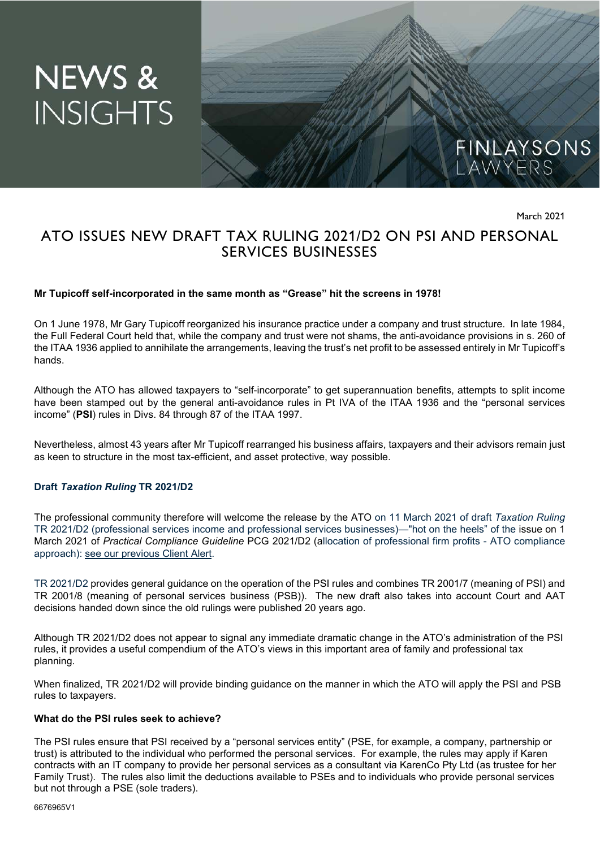# NEWS & **INSIGHTS**



March 2021

## ATO ISSUES NEW DRAFT TAX RULING 2021/D2 ON PSI AND PERSONAL SERVICES BUSINESSES

#### **Mr Tupicoff self-incorporated in the same month as "Grease" hit the screens in 1978!**

On 1 June 1978, Mr Gary Tupicoff reorganized his insurance practice under a company and trust structure. In late 1984, the Full Federal Court held that, while the company and trust were not shams, the anti-avoidance provisions in s. 260 of the ITAA 1936 applied to annihilate the arrangements, leaving the trust's net profit to be assessed entirely in Mr Tupicoff's hands.

Although the ATO has allowed taxpayers to "self-incorporate" to get superannuation benefits, attempts to split income have been stamped out by the general anti-avoidance rules in Pt IVA of the ITAA 1936 and the "personal services income" (**PSI**) rules in Divs. 84 through 87 of the ITAA 1997.

Nevertheless, almost 43 years after Mr Tupicoff rearranged his business affairs, taxpayers and their advisors remain just as keen to structure in the most tax-efficient, and asset protective, way possible.

#### **Draft** *Taxation Ruling* **TR 2021/D2**

The professional community therefore will welcome the release by the ATO on 11 March 2021 of draft *Taxation Ruling* TR 2021/D2 (professional services income and professional services businesses)—"hot on the heels" of the issue on 1 March 2021 of *Practical Compliance Guideline* PCG 2021/D2 (allocation of professional firm profits - ATO compliance approach): see our previous Client Alert.

TR 2021/D2 provides general guidance on the operation of the PSI rules and combines TR 2001/7 (meaning of PSI) and TR 2001/8 (meaning of personal services business (PSB)). The new draft also takes into account Court and AAT decisions handed down since the old rulings were published 20 years ago.

Although TR 2021/D2 does not appear to signal any immediate dramatic change in the ATO's administration of the PSI rules, it provides a useful compendium of the ATO's views in this important area of family and professional tax planning.

When finalized, TR 2021/D2 will provide binding guidance on the manner in which the ATO will apply the PSI and PSB rules to taxpayers.

#### **What do the PSI rules seek to achieve?**

The PSI rules ensure that PSI received by a "personal services entity" (PSE, for example, a company, partnership or trust) is attributed to the individual who performed the personal services. For example, the rules may apply if Karen contracts with an IT company to provide her personal services as a consultant via KarenCo Pty Ltd (as trustee for her Family Trust). The rules also limit the deductions available to PSEs and to individuals who provide personal services but not through a PSE (sole traders).